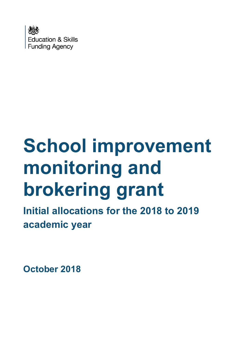

# **School improvement monitoring and brokering grant**

**Initial allocations for the 2018 to 2019 academic year**

**October 2018**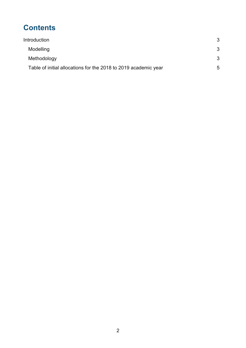## **Contents**

| Introduction                                                    | 3 |
|-----------------------------------------------------------------|---|
| Modelling                                                       | 3 |
| Methodology                                                     | 3 |
| Table of initial allocations for the 2018 to 2019 academic year | 5 |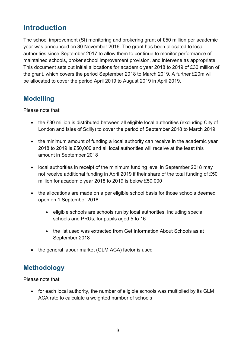### <span id="page-2-0"></span>**Introduction**

The school improvement (SI) monitoring and brokering grant of £50 million per academic year was announced on 30 November 2016. The grant has been allocated to local authorities since September 2017 to allow them to continue to monitor performance of maintained schools, broker school improvement provision, and intervene as appropriate. This document sets out initial allocations for academic year 2018 to 2019 of £30 million of the grant, which covers the period September 2018 to March 2019. A further £20m will be allocated to cover the period April 2019 to August 2019 in April 2019.

#### <span id="page-2-1"></span>**Modelling**

Please note that:

- the £30 million is distributed between all eligible local authorities (excluding City of London and Isles of Scilly) to cover the period of September 2018 to March 2019
- the minimum amount of funding a local authority can receive in the academic year 2018 to 2019 is £50,000 and all local authorities will receive at the least this amount in September 2018
- local authorities in receipt of the minimum funding level in September 2018 may not receive additional funding in April 2019 if their share of the total funding of £50 million for academic year 2018 to 2019 is below £50,000
- the allocations are made on a per eligible school basis for those schools deemed open on 1 September 2018
	- e eligible schools are schools run by local authorities, including special schools and PRUs, for pupils aged 5 to 16
	- the list used was extracted from Get Information About Schools as at September 2018
- the general labour market (GLM ACA) factor is used

#### <span id="page-2-2"></span>**Methodology**

Please note that:

 for each local authority, the number of eligible schools was multiplied by its GLM ACA rate to calculate a weighted number of schools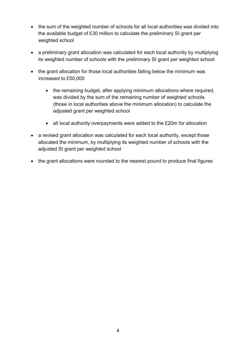- the sum of the weighted number of schools for all local authorities was divided into the available budget of £30 million to calculate the preliminary SI grant per weighted school
- a preliminary grant allocation was calculated for each local authority by multiplying its weighted number of schools with the preliminary SI grant per weighted school
- the grant allocation for those local authorities falling below the minimum was increased to £50,000
	- the remaining budget, after applying minimum allocations where required, was divided by the sum of the remaining number of weighted schools (those in local authorities above the minimum allocation) to calculate the adjusted grant per weighted school
	- all local authority overpayments were added to the £20m for allocation
- a revised grant allocation was calculated for each local authority, except those allocated the minimum, by multiplying its weighted number of schools with the adjusted SI grant per weighted school
- the grant allocations were rounded to the nearest pound to produce final figures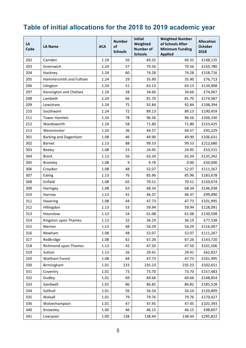## <span id="page-4-0"></span>**Table of initial allocations for the 2018 to 2019 academic year**

| LA<br>Code | <b>LA Name</b>         | <b>ACA</b> | <b>Number</b><br>of<br><b>Schools</b> | Initial<br>Weighted<br><b>Number of</b><br><b>Schools</b> | <b>Weighted Number</b><br>of Schools After<br><b>Minimum Funding</b><br><b>Applied</b> | <b>Allocation</b><br><b>October</b><br>2018 |
|------------|------------------------|------------|---------------------------------------|-----------------------------------------------------------|----------------------------------------------------------------------------------------|---------------------------------------------|
| 202        | Camden                 | 1.24       | 56                                    | 69.32                                                     | 69.32                                                                                  | £148,135                                    |
| 203        | Greenwich              | 1.24       | 57                                    | 70.56                                                     | 70.56                                                                                  | £150,780                                    |
| 204        | Hackney                | 1.24       | 60                                    | 74.28                                                     | 74.28                                                                                  | £158,716                                    |
| 205        | Hammersmith and Fulham | 1.24       | 29                                    | 35.90                                                     | 35.90                                                                                  | £76,713                                     |
| 206        | Islington              | 1.24       | 51                                    | 63.13                                                     | 63.13                                                                                  | £134,908                                    |
| 207        | Kensington and Chelsea | 1.24       | 28                                    | 34.66                                                     | 34.66                                                                                  | £74,067                                     |
| 208        | Lambeth                | 1.24       | 66                                    | 81.70                                                     | 81.70                                                                                  | £174,587                                    |
| 209        | Lewisham               | 1.24       | 75                                    | 92.84                                                     | 92.84                                                                                  | £198,394                                    |
| 210        | Southwark              | 1.24       | 72                                    | 89.13                                                     | 89.13                                                                                  | £190,459                                    |
| 211        | <b>Tower Hamlets</b>   | 1.24       | 78                                    | 96.56                                                     | 96.56                                                                                  | £206,330                                    |
| 212        | Wandsworth             | 1.24       | 58                                    | 71.80                                                     | 71.80                                                                                  | £153,425                                    |
| 213        | Westminster            | 1.24       | 36                                    | 44.57                                                     | 44.57                                                                                  | £95,229                                     |
| 301        | Barking and Dagenham   | 1.08       | 46                                    | 49.90                                                     | 49.90                                                                                  | £106,631                                    |
| 302        | Barnet                 | 1.13       | 88                                    | 99.53                                                     | 99.53                                                                                  | £212,680                                    |
| 303        | Bexley                 | 1.08       | 23                                    | 24.95                                                     | 24.95                                                                                  | £53,315                                     |
| 304        | <b>Brent</b>           | 1.13       | 56                                    | 63.34                                                     | 63.34                                                                                  | £135,342                                    |
| 305        | Bromley                | 1.08       | 9                                     | 9.76                                                      | 0.00                                                                                   | £50,000                                     |
| 306        | Croydon                | 1.08       | 48                                    | 52.07                                                     | 52.07                                                                                  | £111,267                                    |
| 307        | Ealing                 | 1.13       | 76                                    | 85.96                                                     | 85.96                                                                                  | £183,678                                    |
| 308        | Enfield                | 1.08       | 65                                    | 70.51                                                     | 70.51                                                                                  | £150,674                                    |
| 309        | Haringey               | 1.08       | 63                                    | 68.34                                                     | 68.34                                                                                  | £146,038                                    |
| 310        | Harrow                 | 1.13       | 41                                    | 46.37                                                     | 46.37                                                                                  | £99,090                                     |
| 311        | Havering               | 1.08       | 44                                    | 47.73                                                     | 47.73                                                                                  | £101,995                                    |
| 312        | Hillingdon             | 1.13       | 53                                    | 59.94                                                     | 59.94                                                                                  | £128,091                                    |
| 313        | Hounslow               | 1.13       | 54                                    | 61.08                                                     | 61.08                                                                                  | £130,508                                    |
| 314        | Kingston upon Thames   | 1.13       | 32                                    | 36.19                                                     | 36.19                                                                                  | £77,338                                     |
| 315        | Merton                 | 1.13       | 48                                    | 54.29                                                     | 54.29                                                                                  | £116,007                                    |
| 316        | Newham                 | 1.08       | 48                                    | 52.07                                                     | 52.07                                                                                  | £111,267                                    |
| 317        | Redbridge              | 1.08       | 62                                    | 67.26                                                     | 67.26                                                                                  | £143,720                                    |
| 318        | Richmond upon Thames   | 1.13       | 42                                    | 47.50                                                     | 47.50                                                                                  | £101,506                                    |
| 319        | Sutton                 | 1.13       | 26                                    | 29.41                                                     | 29.41                                                                                  | £62,837                                     |
| 320        | <b>Waltham Forest</b>  | 1.08       | 44                                    | 47.73                                                     | 47.73                                                                                  | £101,995                                    |
| 330        | Birmingham             | 1.01       | 233                                   | 235.23                                                    | 235.23                                                                                 | £502,651                                    |
| 331        | Coventry               | 1.01       | 73                                    | 73.70                                                     | 73.70                                                                                  | £157,483                                    |
| 332        | Dudley                 | 1.01       | 69                                    | 69.66                                                     | 69.66                                                                                  | £148,854                                    |
| 333        | Sandwell               | 1.01       | 86                                    | 86.82                                                     | 86.82                                                                                  | £185,528                                    |
| 334        | Solihull               | 1.01       | 56                                    | 56.54                                                     | 56.54                                                                                  | £120,809                                    |
| 335        | Walsall                | 1.01       | 79                                    | 79.76                                                     | 79.76                                                                                  | £170,427                                    |
| 336        | Wolverhampton          | 1.01       | 47                                    | 47.45                                                     | 47.45                                                                                  | £101,393                                    |
| 340        | Knowsley               | 1.00       | 46                                    | 46.15                                                     | 46.15                                                                                  | £98,607                                     |
| 341        | Liverpool              | 1.00       | 138                                   | 138.44                                                    | 138.44                                                                                 | £295,822                                    |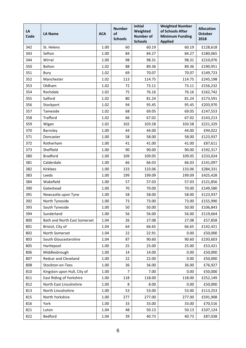| LA<br>Code | <b>LA Name</b>               | <b>ACA</b> | <b>Number</b><br>of<br><b>Schools</b> | <b>Initial</b><br>Weighted<br><b>Number of</b><br><b>Schools</b> | <b>Weighted Number</b><br>of Schools After<br><b>Minimum Funding</b><br><b>Applied</b> | <b>Allocation</b><br><b>October</b><br>2018 |
|------------|------------------------------|------------|---------------------------------------|------------------------------------------------------------------|----------------------------------------------------------------------------------------|---------------------------------------------|
| 342        | St. Helens                   | 1.00       | 60                                    | 60.19                                                            | 60.19                                                                                  | £128,618                                    |
| 343        | Sefton                       | 1.00       | 84                                    | 84.27                                                            | 84.27                                                                                  | £180,065                                    |
| 344        | Wirral                       | 1.00       | 98                                    | 98.31                                                            | 98.31                                                                                  | £210,076                                    |
| 350        | Bolton                       | 1.02       | 88                                    | 89.36                                                            | 89.36                                                                                  | £190,951                                    |
| 351        | Bury                         | 1.02       | 69                                    | 70.07                                                            | 70.07                                                                                  | £149,723                                    |
| 352        | Manchester                   | 1.02       | 113                                   | 114.75                                                           | 114.75                                                                                 | £245,198                                    |
| 353        | Oldham                       | 1.02       | 72                                    | 73.11                                                            | 73.11                                                                                  | £156,232                                    |
| 354        | Rochdale                     | 1.02       | 75                                    | 76.16                                                            | 76.16                                                                                  | £162,742                                    |
| 355        | Salford                      | 1.02       | 80                                    | 81.24                                                            | 81.24                                                                                  | £173,591                                    |
| 356        | Stockport                    | 1.02       | 94                                    | 95.45                                                            | 95.45                                                                                  | £203,970                                    |
| 357        | Tameside                     | 1.02       | 68                                    | 69.05                                                            | 69.05                                                                                  | £147,553                                    |
| 358        | <b>Trafford</b>              | 1.02       | 66                                    | 67.02                                                            | 67.02                                                                                  | £143,213                                    |
| 359        | Wigan                        | 1.02       | 102                                   | 103.58                                                           | 103.58                                                                                 | £221,329                                    |
| 370        | Barnsley                     | 1.00       | 44                                    | 44.00                                                            | 44.00                                                                                  | £94,022                                     |
| 371        | Doncaster                    | 1.00       | 58                                    | 58.00                                                            | 58.00                                                                                  | £123,937                                    |
| 372        | Rotherham                    | 1.00       | 41                                    | 41.00                                                            | 41.00                                                                                  | £87,611                                     |
| 373        | Sheffield                    | 1.00       | 90                                    | 90.00                                                            | 90.00                                                                                  | £192,317                                    |
| 380        | <b>Bradford</b>              | 1.00       | 109                                   | 109.05                                                           | 109.05                                                                                 | £233,024                                    |
| 381        | Calderdale                   | 1.00       | 66                                    | 66.03                                                            | 66.03                                                                                  | £141,097                                    |
| 382        | <b>Kirklees</b>              | 1.00       | 133                                   | 133.06                                                           | 133.06                                                                                 | £284,331                                    |
| 383        | Leeds                        | 1.00       | 199                                   | 199.09                                                           | 199.09                                                                                 | £425,428                                    |
| 384        | Wakefield                    | 1.00       | 57                                    | 57.03                                                            | 57.03                                                                                  | £121,856                                    |
| 390        | Gateshead                    | 1.00       | 70                                    | 70.00                                                            | 70.00                                                                                  | £149,580                                    |
| 391        | Newcastle upon Tyne          | 1.00       | 58                                    | 58.00                                                            | 58.00                                                                                  | £123,937                                    |
| 392        | North Tyneside               | 1.00       | 73                                    | 73.00                                                            | 73.00                                                                                  | £155,990                                    |
| 393        | South Tyneside               | 1.00       | 50                                    | 50.00                                                            | 50.00                                                                                  | £106,843                                    |
| 394        | Sunderland                   | 1.00       | 56                                    | 56.00                                                            | 56.00                                                                                  | £119,664                                    |
| 800        | Bath and North East Somerset | 1.04       | 26                                    | 27.08                                                            | 27.08                                                                                  | £57,858                                     |
| 801        | Bristol, City of             | 1.04       | 64                                    | 66.65                                                            | 66.65                                                                                  | £142,421                                    |
| 802        | North Somerset               | 1.04       | 22                                    | 22.91                                                            | 0.00                                                                                   | £50,000                                     |
| 803        | South Gloucestershire        | 1.04       | 87                                    | 90.60                                                            | 90.60                                                                                  | £193,603                                    |
| 805        | Hartlepool                   | 1.00       | 25                                    | 25.00                                                            | 25.00                                                                                  | £53,421                                     |
| 806        | Middlesbrough                | 1.00       | 14                                    | 14.00                                                            | 0.00                                                                                   | £50,000                                     |
| 807        | Redcar and Cleveland         | 1.00       | 22                                    | 22.00                                                            | 0.00                                                                                   | £50,000                                     |
| 808        | Stockton-on-Tees             | 1.00       | 36                                    | 36.00                                                            | 36.00                                                                                  | £76,927                                     |
| 810        | Kingston upon Hull, City of  | 1.00       | 7                                     | 7.00                                                             | 0.00                                                                                   | £50,000                                     |
| 811        | East Riding of Yorkshire     | 1.00       | 118                                   | 118.00                                                           | 118.00                                                                                 | £252,149                                    |
| 812        | North East Lincolnshire      | 1.00       | 8                                     | 8.00                                                             | 0.00                                                                                   | £50,000                                     |
| 813        | North Lincolnshire           | 1.00       | 53                                    | 53.00                                                            | 53.00                                                                                  | £113,253                                    |
| 815        | North Yorkshire              | 1.00       | 277                                   | 277.00                                                           | 277.00                                                                                 | £591,908                                    |
| 816        | York                         | 1.00       | 33                                    | 33.00                                                            | 33.00                                                                                  | £70,516                                     |
| 821        | Luton                        | 1.04       | 48                                    | 50.13                                                            | 50.13                                                                                  | £107,124                                    |
| 822        | Bedford                      | 1.04       | 39                                    | 40.73                                                            | 40.73                                                                                  | £87,038                                     |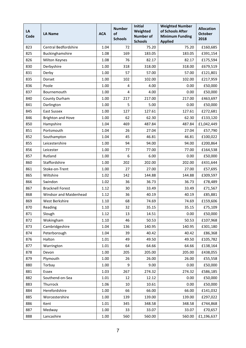| LA<br>Code | <b>LA Name</b>           | <b>ACA</b> | <b>Number</b><br>of<br><b>Schools</b> | <b>Initial</b><br>Weighted<br><b>Number of</b><br><b>Schools</b> | <b>Weighted Number</b><br>of Schools After<br><b>Minimum Funding</b><br><b>Applied</b> | <b>Allocation</b><br><b>October</b><br>2018 |
|------------|--------------------------|------------|---------------------------------------|------------------------------------------------------------------|----------------------------------------------------------------------------------------|---------------------------------------------|
| 823        | Central Bedfordshire     | 1.04       | 72                                    | 75.20                                                            | 75.20                                                                                  | £160,685                                    |
| 825        | Buckinghamshire          | 1.08       | 169                                   | 183.05                                                           | 183.05                                                                                 | £391,154                                    |
| 826        | Milton Keynes            | 1.08       | 76                                    | 82.17                                                            | 82.17                                                                                  | £175,594                                    |
| 830        | Derbyshire               | 1.00       | 318                                   | 318.00                                                           | 318.00                                                                                 | £679,519                                    |
| 831        | Derby                    | 1.00       | 57                                    | 57.00                                                            | 57.00                                                                                  | £121,801                                    |
| 835        | Dorset                   | 1.00       | 102                                   | 102.00                                                           | 102.00                                                                                 | £217,959                                    |
| 836        | Poole                    | 1.00       | 4                                     | 4.00                                                             | 0.00                                                                                   | £50,000                                     |
| 837        | Bournemouth              | 1.00       | 4                                     | 4.00                                                             | 0.00                                                                                   | £50,000                                     |
| 840        | County Durham            | 1.00       | 217                                   | 217.00                                                           | 217.00                                                                                 | £463,697                                    |
| 841        | Darlington               | 1.00       | 5                                     | 5.00                                                             | 0.00                                                                                   | £50,000                                     |
| 845        | <b>East Sussex</b>       | 1.00       | 127                                   | 127.61                                                           | 127.61                                                                                 | £272,681                                    |
| 846        | <b>Brighton and Hove</b> | 1.00       | 62                                    | 62.30                                                            | 62.30                                                                                  | £133,120                                    |
| 850        | Hampshire                | 1.04       | 469                                   | 487.84                                                           | 487.84                                                                                 | £1,042,449                                  |
| 851        | Portsmouth               | 1.04       | 26                                    | 27.04                                                            | 27.04                                                                                  | £57,790                                     |
| 852        | Southampton              | 1.04       | 45                                    | 46.81                                                            | 46.81                                                                                  | £100,022                                    |
| 855        | Leicestershire           | 1.00       | 94                                    | 94.00                                                            | 94.00                                                                                  | £200,864                                    |
| 856        | Leicester                | 1.00       | 77                                    | 77.00                                                            | 77.00                                                                                  | £164,538                                    |
| 857        | Rutland                  | 1.00       | 6                                     | 6.00                                                             | 0.00                                                                                   | £50,000                                     |
| 860        | Staffordshire            | 1.00       | 202                                   | 202.00                                                           | 202.00                                                                                 | £431,644                                    |
| 861        | Stoke-on-Trent           | 1.00       | 27                                    | 27.00                                                            | 27.00                                                                                  | £57,695                                     |
| 865        | Wiltshire                | 1.02       | 142                                   | 144.88                                                           | 144.88                                                                                 | £309,597                                    |
| 866        | Swindon                  | 1.02       | 36                                    | 36.73                                                            | 36.73                                                                                  | £78,489                                     |
| 867        | <b>Bracknell Forest</b>  | 1.12       | 30                                    | 33.49                                                            | 33.49                                                                                  | £71,567                                     |
| 868        | Windsor and Maidenhead   | 1.12       | 36                                    | 40.19                                                            | 40.19                                                                                  | £85,881                                     |
| 869        | West Berkshire           | 1.10       | 68                                    | 74.69                                                            | 74.69                                                                                  | £159,606                                    |
| 870        | Reading                  | 1.10       | 32                                    | 35.15                                                            | 35.15                                                                                  | £75,109                                     |
| 871        | Slough                   | 1.12       | 13                                    | 14.51                                                            | 0.00                                                                                   | £50,000                                     |
| 872        | Wokingham                | 1.10       | 46                                    | 50.53                                                            | 50.53                                                                                  | £107,968                                    |
| 873        | Cambridgeshire           | 1.04       | 136                                   | 140.95                                                           | 140.95                                                                                 | £301,180                                    |
| 874        | Peterborough             | 1.04       | 39                                    | 40.42                                                            | 40.42                                                                                  | £86,368                                     |
| 876        | Halton                   | 1.01       | 49                                    | 49.50                                                            | 49.50                                                                                  | £105,782                                    |
| 877        | Warrington               | 1.01       | 64                                    | 64.66                                                            | 64.66                                                                                  | £138,164                                    |
| 878        | Devon                    | 1.00       | 205                                   | 205.00                                                           | 205.00                                                                                 | £438,055                                    |
| 879        | Plymouth                 | 1.00       | 26                                    | 26.00                                                            | 26.00                                                                                  | £55,558                                     |
| 880        | Torbay                   | 1.00       | 9                                     | 9.00                                                             | 0.00                                                                                   | £50,000                                     |
| 881        | Essex                    | 1.03       | 267                                   | 274.32                                                           | 274.32                                                                                 | £586,185                                    |
| 882        | Southend-on-Sea          | 1.01       | 12                                    | 12.12                                                            | 0.00                                                                                   | £50,000                                     |
| 883        | Thurrock                 | 1.06       | 10                                    | 10.61                                                            | 0.00                                                                                   | £50,000                                     |
| 884        | Herefordshire            | 1.00       | 66                                    | 66.00                                                            | 66.00                                                                                  | £141,032                                    |
| 885        | Worcestershire           | 1.00       | 139                                   | 139.00                                                           | 139.00                                                                                 | £297,022                                    |
| 886        | Kent                     | 1.01       | 345                                   | 348.58                                                           | 348.58                                                                                 | £744,868                                    |
| 887        | Medway                   | 1.00       | 33                                    | 33.07                                                            | 33.07                                                                                  | £70,657                                     |
| 888        | Lancashire               | 1.00       | 560                                   | 560.00                                                           | 560.00                                                                                 | £1,196,637                                  |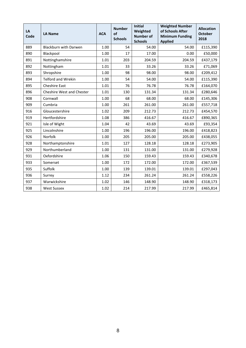| LA<br>Code | <b>LA Name</b>                   | <b>ACA</b> | <b>Number</b><br>of<br><b>Schools</b> | <b>Initial</b><br>Weighted<br><b>Number of</b><br><b>Schools</b> | <b>Weighted Number</b><br>of Schools After<br><b>Minimum Funding</b><br><b>Applied</b> | <b>Allocation</b><br><b>October</b><br>2018 |
|------------|----------------------------------|------------|---------------------------------------|------------------------------------------------------------------|----------------------------------------------------------------------------------------|---------------------------------------------|
| 889        | Blackburn with Darwen            | 1.00       | 54                                    | 54.00                                                            | 54.00                                                                                  | £115,390                                    |
| 890        | Blackpool                        | 1.00       | 17                                    | 17.00                                                            | 0.00                                                                                   | £50,000                                     |
| 891        | Nottinghamshire                  | 1.01       | 203                                   | 204.59                                                           | 204.59                                                                                 | £437,179                                    |
| 892        | Nottingham                       | 1.01       | 33                                    | 33.26                                                            | 33.26                                                                                  | £71,069                                     |
| 893        | Shropshire                       | 1.00       | 98                                    | 98.00                                                            | 98.00                                                                                  | £209,412                                    |
| 894        | <b>Telford and Wrekin</b>        | 1.00       | 54                                    | 54.00                                                            | 54.00                                                                                  | £115,390                                    |
| 895        | <b>Cheshire East</b>             | 1.01       | 76                                    | 76.78                                                            | 76.78                                                                                  | £164,070                                    |
| 896        | <b>Cheshire West and Chester</b> | 1.01       | 130                                   | 131.34                                                           | 131.34                                                                                 | £280,646                                    |
| 908        | Cornwall                         | 1.00       | 68                                    | 68.00                                                            | 68.00                                                                                  | £145,306                                    |
| 909        | Cumbria                          | 1.00       | 261                                   | 261.00                                                           | 261.00                                                                                 | £557,718                                    |
| 916        | Gloucestershire                  | 1.02       | 209                                   | 212.73                                                           | 212.73                                                                                 | £454,570                                    |
| 919        | Hertfordshire                    | 1.08       | 386                                   | 416.67                                                           | 416.67                                                                                 | £890,365                                    |
| 921        | Isle of Wight                    | 1.04       | 42                                    | 43.69                                                            | 43.69                                                                                  | £93,354                                     |
| 925        | Lincolnshire                     | 1.00       | 196                                   | 196.00                                                           | 196.00                                                                                 | £418,823                                    |
| 926        | Norfolk                          | 1.00       | 205                                   | 205.00                                                           | 205.00                                                                                 | £438,055                                    |
| 928        | Northamptonshire                 | 1.01       | 127                                   | 128.18                                                           | 128.18                                                                                 | £273,905                                    |
| 929        | Northumberland                   | 1.00       | 131                                   | 131.00                                                           | 131.00                                                                                 | £279,928                                    |
| 931        | Oxfordshire                      | 1.06       | 150                                   | 159.43                                                           | 159.43                                                                                 | £340,678                                    |
| 933        | Somerset                         | 1.00       | 172                                   | 172.00                                                           | 172.00                                                                                 | £367,539                                    |
| 935        | Suffolk                          | 1.00       | 139                                   | 139.01                                                           | 139.01                                                                                 | £297,043                                    |
| 936        | Surrey                           | 1.12       | 234                                   | 261.24                                                           | 261.24                                                                                 | £558,226                                    |
| 937        | Warwickshire                     | 1.02       | 146                                   | 148.90                                                           | 148.90                                                                                 | £318,173                                    |
| 938        | <b>West Sussex</b>               | 1.02       | 214                                   | 217.99                                                           | 217.99                                                                                 | £465,814                                    |